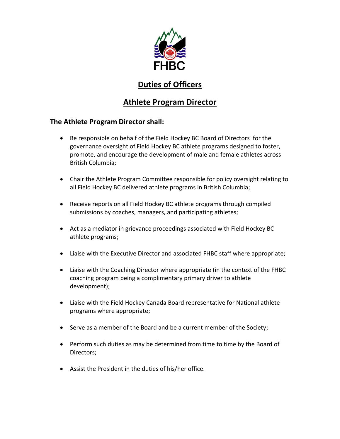

# **Duties of Officers**

# **Athlete Program Director**

### **The Athlete Program Director shall:**

- Be responsible on behalf of the Field Hockey BC Board of Directors for the governance oversight of Field Hockey BC athlete programs designed to foster, promote, and encourage the development of male and female athletes across British Columbia;
- Chair the Athlete Program Committee responsible for policy oversight relating to all Field Hockey BC delivered athlete programs in British Columbia;
- Receive reports on all Field Hockey BC athlete programs through compiled submissions by coaches, managers, and participating athletes;
- Act as a mediator in grievance proceedings associated with Field Hockey BC athlete programs;
- Liaise with the Executive Director and associated FHBC staff where appropriate;
- Liaise with the Coaching Director where appropriate (in the context of the FHBC coaching program being a complimentary primary driver to athlete development);
- Liaise with the Field Hockey Canada Board representative for National athlete programs where appropriate;
- Serve as a member of the Board and be a current member of the Society;
- Perform such duties as may be determined from time to time by the Board of Directors;
- Assist the President in the duties of his/her office.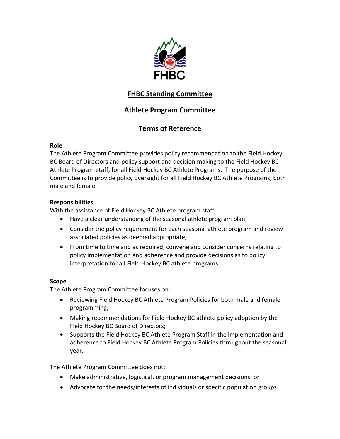

## **FHBC Standing Committee**

## **Athlete Program Committee**

## **Terms of Reference**

### **Role**

The Athlete Program Committee provides policy recommendation to the Field Hockey BC Board of Directors and policy support and decision making to the Field Hockey BC Athlete Program staff, for all Field Hockey BC Athlete Programs. The purpose of the Committee is to provide policy oversight for all Field Hockey BC Athlete Programs, both male and female.

### **Responsibilities**

With the assistance of Field Hockey BC Athlete program staff;

- Have a clear understanding of the seasonal athlete program plan;
- Consider the policy requirement for each seasonal athlete program and review associated policies as deemed appropriate;
- From time to time and as required, convene and consider concerns relating to policy implementation and adherence and provide decisions as to policy interpretation for all Field Hockey BC athlete programs.

#### **Scope**

The Athlete Program Committee focuses on:

- Reviewing Field Hockey BC Athlete Program Policies for both male and female programming;
- Making recommendations for Field Hockey BC athlete policy adoption by the Field Hockey BC Board of Directors;
- Supports the Field Hockey BC Athlete Program Staff in the implementation and adherence to Field Hockey BC Athlete Program Policies throughout the seasonal year.

The Athlete Program Committee does not:

- Make administrative, logistical, or program management decisions; or
- Advocate for the needs/interests of individuals or specific population groups.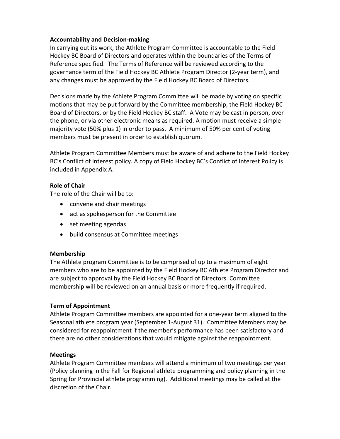#### **Accountability and Decision-making**

In carrying out its work, the Athlete Program Committee is accountable to the Field Hockey BC Board of Directors and operates within the boundaries of the Terms of Reference specified. The Terms of Reference will be reviewed according to the governance term of the Field Hockey BC Athlete Program Director (2-year term), and any changes must be approved by the Field Hockey BC Board of Directors.

Decisions made by the Athlete Program Committee will be made by voting on specific motions that may be put forward by the Committee membership, the Field Hockey BC Board of Directors, or by the Field Hockey BC staff. A Vote may be cast in person, over the phone, or via other electronic means as required. A motion must receive a simple majority vote (50% plus 1) in order to pass. A minimum of 50% per cent of voting members must be present in order to establish quorum.

Athlete Program Committee Members must be aware of and adhere to the Field Hockey BC's Conflict of Interest policy. A copy of Field Hockey BC's Conflict of Interest Policy is included in Appendix A.

#### **Role of Chair**

The role of the Chair will be to:

- convene and chair meetings
- act as spokesperson for the Committee
- set meeting agendas
- build consensus at Committee meetings

#### **Membership**

The Athlete program Committee is to be comprised of up to a maximum of eight members who are to be appointed by the Field Hockey BC Athlete Program Director and are subject to approval by the Field Hockey BC Board of Directors. Committee membership will be reviewed on an annual basis or more frequently if required.

#### **Term of Appointment**

Athlete Program Committee members are appointed for a one-year term aligned to the Seasonal athlete program year (September 1-August 31). Committee Members may be considered for reappointment if the member's performance has been satisfactory and there are no other considerations that would mitigate against the reappointment.

#### **Meetings**

Athlete Program Committee members will attend a minimum of two meetings per year (Policy planning in the Fall for Regional athlete programming and policy planning in the Spring for Provincial athlete programming). Additional meetings may be called at the discretion of the Chair.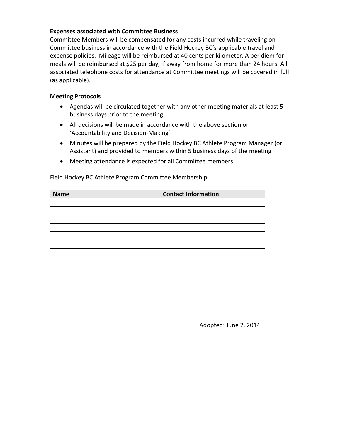#### **Expenses associated with Committee Business**

Committee Members will be compensated for any costs incurred while traveling on Committee business in accordance with the Field Hockey BC's applicable travel and expense policies. Mileage will be reimbursed at 40 cents per kilometer. A per diem for meals will be reimbursed at \$25 per day, if away from home for more than 24 hours. All associated telephone costs for attendance at Committee meetings will be covered in full (as applicable).

#### **Meeting Protocols**

- Agendas will be circulated together with any other meeting materials at least 5 business days prior to the meeting
- All decisions will be made in accordance with the above section on 'Accountability and Decision-Making'
- Minutes will be prepared by the Field Hockey BC Athlete Program Manager (or Assistant) and provided to members within 5 business days of the meeting
- Meeting attendance is expected for all Committee members

| <b>Contact Information</b> |
|----------------------------|
|                            |
|                            |
|                            |
|                            |
|                            |
|                            |
|                            |
|                            |

Field Hockey BC Athlete Program Committee Membership

Adopted: June 2, 2014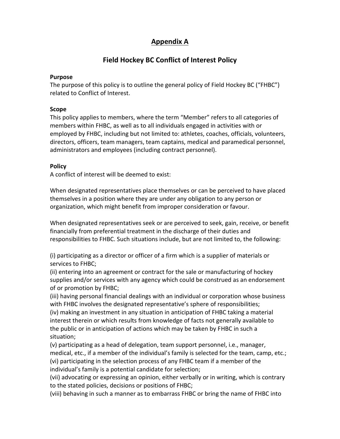## **Appendix A**

### **Field Hockey BC Conflict of Interest Policy**

#### **Purpose**

The purpose of this policy is to outline the general policy of Field Hockey BC ("FHBC") related to Conflict of Interest.

#### **Scope**

This policy applies to members, where the term "Member" refers to all categories of members within FHBC, as well as to all individuals engaged in activities with or employed by FHBC, including but not limited to: athletes, coaches, officials, volunteers, directors, officers, team managers, team captains, medical and paramedical personnel, administrators and employees (including contract personnel).

#### **Policy**

A conflict of interest will be deemed to exist:

When designated representatives place themselves or can be perceived to have placed themselves in a position where they are under any obligation to any person or organization, which might benefit from improper consideration or favour.

When designated representatives seek or are perceived to seek, gain, receive, or benefit financially from preferential treatment in the discharge of their duties and responsibilities to FHBC. Such situations include, but are not limited to, the following:

(i) participating as a director or officer of a firm which is a supplier of materials or services to FHBC;

(ii) entering into an agreement or contract for the sale or manufacturing of hockey supplies and/or services with any agency which could be construed as an endorsement of or promotion by FHBC;

(iii) having personal financial dealings with an individual or corporation whose business with FHBC involves the designated representative's sphere of responsibilities;

(iv) making an investment in any situation in anticipation of FHBC taking a material interest therein or which results from knowledge of facts not generally available to the public or in anticipation of actions which may be taken by FHBC in such a situation;

(v) participating as a head of delegation, team support personnel, i.e., manager, medical, etc., if a member of the individual's family is selected for the team, camp, etc.; (vi) participating in the selection process of any FHBC team if a member of the individual's family is a potential candidate for selection;

(vii) advocating or expressing an opinion, either verbally or in writing, which is contrary to the stated policies, decisions or positions of FHBC;

(viii) behaving in such a manner as to embarrass FHBC or bring the name of FHBC into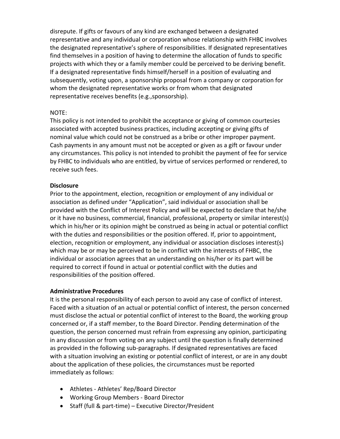disrepute. If gifts or favours of any kind are exchanged between a designated representative and any individual or corporation whose relationship with FHBC involves the designated representative's sphere of responsibilities. If designated representatives find themselves in a position of having to determine the allocation of funds to specific projects with which they or a family member could be perceived to be deriving benefit. If a designated representative finds himself/herself in a position of evaluating and subsequently, voting upon, a sponsorship proposal from a company or corporation for whom the designated representative works or from whom that designated representative receives benefits (e.g.,sponsorship).

#### NOTE:

This policy is not intended to prohibit the acceptance or giving of common courtesies associated with accepted business practices, including accepting or giving gifts of nominal value which could not be construed as a bribe or other improper payment. Cash payments in any amount must not be accepted or given as a gift or favour under any circumstances. This policy is not intended to prohibit the payment of fee for service by FHBC to individuals who are entitled, by virtue of services performed or rendered, to receive such fees.

#### **Disclosure**

Prior to the appointment, election, recognition or employment of any individual or association as defined under "Application", said individual or association shall be provided with the Conflict of Interest Policy and will be expected to declare that he/she or it have no business, commercial, financial, professional, property or similar interest(s) which in his/her or its opinion might be construed as being in actual or potential conflict with the duties and responsibilities or the position offered. If, prior to appointment, election, recognition or employment, any individual or association discloses interest(s) which may be or may be perceived to be in conflict with the interests of FHBC, the individual or association agrees that an understanding on his/her or its part will be required to correct if found in actual or potential conflict with the duties and responsibilities of the position offered.

#### **Administrative Procedures**

It is the personal responsibility of each person to avoid any case of conflict of interest. Faced with a situation of an actual or potential conflict of interest, the person concerned must disclose the actual or potential conflict of interest to the Board, the working group concerned or, if a staff member, to the Board Director. Pending determination of the question, the person concerned must refrain from expressing any opinion, participating in any discussion or from voting on any subject until the question is finally determined as provided in the following sub-paragraphs. If designated representatives are faced with a situation involving an existing or potential conflict of interest, or are in any doubt about the application of these policies, the circumstances must be reported immediately as follows:

- Athletes Athletes' Rep/Board Director
- Working Group Members Board Director
- Staff (full & part-time) Executive Director/President